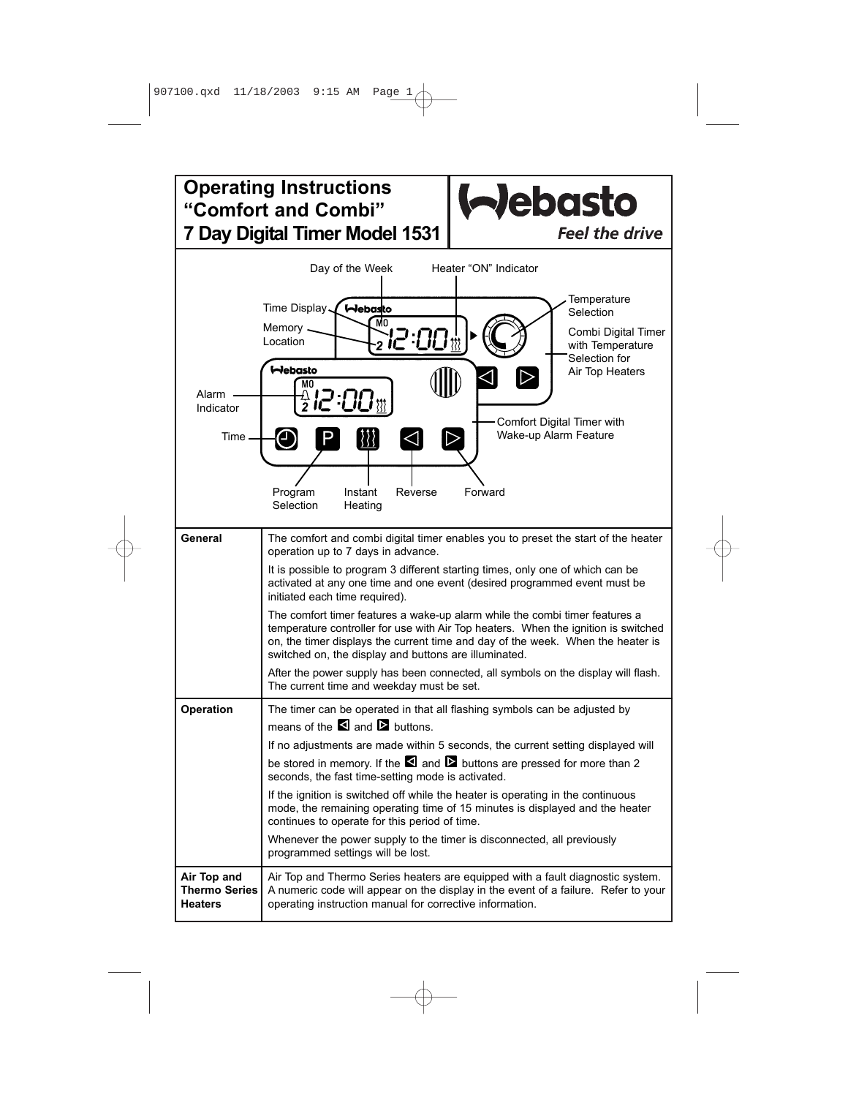